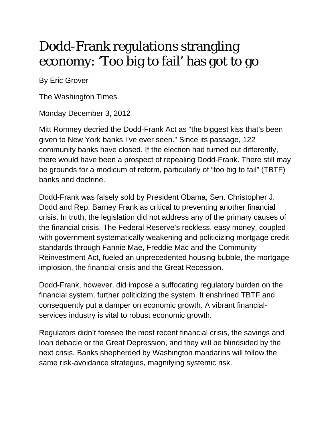## Dodd-Frank regulations strangling economy: 'Too big to fail' has got to go

By Eric Grover

The Washington Times

Monday December 3, 2012

Mitt Romney decried the Dodd-Frank Act as "the biggest kiss that's been given to New York banks I've ever seen." Since its passage, 122 community banks have closed. If the election had turned out differently, there would have been a prospect of repealing Dodd-Frank. There still may be grounds for a modicum of reform, particularly of "too big to fail" (TBTF) banks and doctrine.

Dodd-Frank was falsely sold by President Obama, Sen. Christopher J. Dodd and Rep. Barney Frank as critical to preventing another financial crisis. In truth, the legislation did not address any of the primary causes of the financial crisis. The Federal Reserve's reckless, easy money, coupled with government systematically weakening and politicizing mortgage credit standards through Fannie Mae, Freddie Mac and the Community Reinvestment Act, fueled an unprecedented housing bubble, the mortgage implosion, the financial crisis and the Great Recession.

Dodd-Frank, however, did impose a suffocating regulatory burden on the financial system, further politicizing the system. It enshrined TBTF and consequently put a damper on economic growth. A vibrant financialservices industry is vital to robust economic growth.

Regulators didn't foresee the most recent financial crisis, the savings and loan debacle or the Great Depression, and they will be blindsided by the next crisis. Banks shepherded by Washington mandarins will follow the same risk-avoidance strategies, magnifying systemic risk.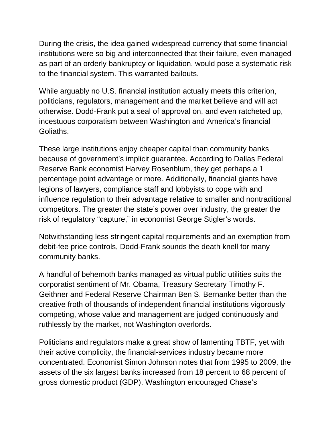During the crisis, the idea gained widespread currency that some financial institutions were so big and interconnected that their failure, even managed as part of an orderly bankruptcy or liquidation, would pose a systematic risk to the financial system. This warranted bailouts.

While arguably no U.S. financial institution actually meets this criterion, politicians, regulators, management and the market believe and will act otherwise. Dodd-Frank put a seal of approval on, and even ratcheted up, incestuous corporatism between Washington and America's financial Goliaths.

These large institutions enjoy cheaper capital than community banks because of government's implicit guarantee. According to Dallas Federal Reserve Bank economist Harvey Rosenblum, they get perhaps a 1 percentage point advantage or more. Additionally, financial giants have legions of lawyers, compliance staff and lobbyists to cope with and influence regulation to their advantage relative to smaller and nontraditional competitors. The greater the state's power over industry, the greater the risk of regulatory "capture," in economist George Stigler's words.

Notwithstanding less stringent capital requirements and an exemption from debit-fee price controls, Dodd-Frank sounds the death knell for many community banks.

A handful of behemoth banks managed as virtual public utilities suits the corporatist sentiment of Mr. Obama, Treasury Secretary Timothy F. Geithner and Federal Reserve Chairman Ben S. Bernanke better than the creative froth of thousands of independent financial institutions vigorously competing, whose value and management are judged continuously and ruthlessly by the market, not Washington overlords.

Politicians and regulators make a great show of lamenting TBTF, yet with their active complicity, the financial-services industry became more concentrated. Economist Simon Johnson notes that from 1995 to 2009, the assets of the six largest banks increased from 18 percent to 68 percent of gross domestic product (GDP). Washington encouraged Chase's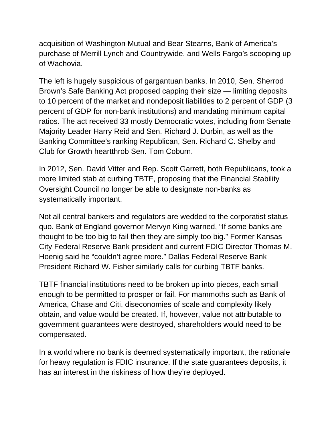acquisition of Washington Mutual and Bear Stearns, Bank of America's purchase of Merrill Lynch and Countrywide, and Wells Fargo's scooping up of Wachovia.

The left is hugely suspicious of gargantuan banks. In 2010, Sen. Sherrod Brown's Safe Banking Act proposed capping their size — limiting deposits to 10 percent of the market and nondeposit liabilities to 2 percent of GDP (3 percent of GDP for non-bank institutions) and mandating minimum capital ratios. The act received 33 mostly Democratic votes, including from Senate Majority Leader Harry Reid and Sen. Richard J. Durbin, as well as the Banking Committee's ranking Republican, Sen. Richard C. Shelby and Club for Growth heartthrob Sen. Tom Coburn.

In 2012, Sen. David Vitter and Rep. Scott Garrett, both Republicans, took a more limited stab at curbing TBTF, proposing that the Financial Stability Oversight Council no longer be able to designate non-banks as systematically important.

Not all central bankers and regulators are wedded to the corporatist status quo. Bank of England governor Mervyn King warned, "If some banks are thought to be too big to fail then they are simply too big." Former Kansas City Federal Reserve Bank president and current FDIC Director Thomas M. Hoenig said he "couldn't agree more." Dallas Federal Reserve Bank President Richard W. Fisher similarly calls for curbing TBTF banks.

TBTF financial institutions need to be broken up into pieces, each small enough to be permitted to prosper or fail. For mammoths such as Bank of America, Chase and Citi, diseconomies of scale and complexity likely obtain, and value would be created. If, however, value not attributable to government guarantees were destroyed, shareholders would need to be compensated.

In a world where no bank is deemed systematically important, the rationale for heavy regulation is FDIC insurance. If the state guarantees deposits, it has an interest in the riskiness of how they're deployed.